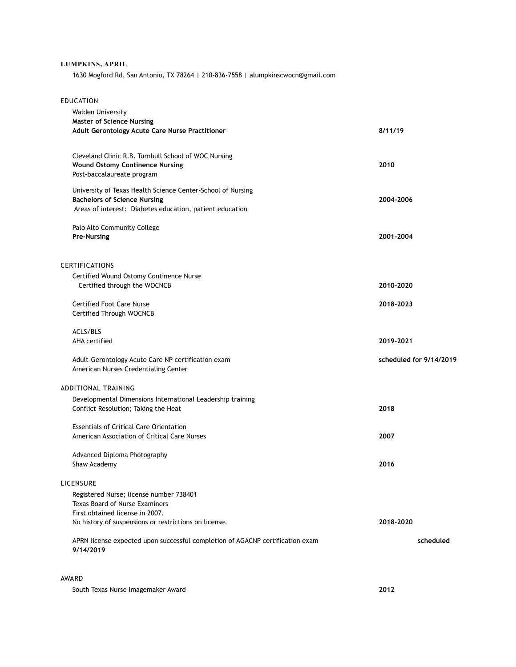## **LUMPKINS, APRIL**

1630 Mogford Rd, San Antonio, TX 78264 | 210-836-7558 | alumpkinscwocn@gmail.com

| <b>EDUCATION</b> |  |
|------------------|--|
|------------------|--|

| <b>Walden University</b><br><b>Master of Science Nursing</b>                                                                                                   |                         |
|----------------------------------------------------------------------------------------------------------------------------------------------------------------|-------------------------|
| Adult Gerontology Acute Care Nurse Practitioner                                                                                                                | 8/11/19                 |
| Cleveland Clinic R.B. Turnbull School of WOC Nursing<br><b>Wound Ostomy Continence Nursing</b><br>Post-baccalaureate program                                   | 2010                    |
| University of Texas Health Science Center-School of Nursing<br><b>Bachelors of Science Nursing</b><br>Areas of interest: Diabetes education, patient education | 2004-2006               |
| Palo Alto Community College<br><b>Pre-Nursing</b>                                                                                                              | 2001-2004               |
| CERTIFICATIONS                                                                                                                                                 |                         |
| Certified Wound Ostomy Continence Nurse<br>Certified through the WOCNCB                                                                                        | 2010-2020               |
| <b>Certified Foot Care Nurse</b><br>Certified Through WOCNCB                                                                                                   | 2018-2023               |
| ACLS/BLS<br>AHA certified                                                                                                                                      | 2019-2021               |
| Adult-Gerontology Acute Care NP certification exam<br>American Nurses Credentialing Center                                                                     | scheduled for 9/14/2019 |
| <b>ADDITIONAL TRAINING</b>                                                                                                                                     |                         |
| Developmental Dimensions International Leadership training<br>Conflict Resolution; Taking the Heat                                                             | 2018                    |
| <b>Essentials of Critical Care Orientation</b><br>American Association of Critical Care Nurses                                                                 | 2007                    |
| Advanced Diploma Photography<br>Shaw Academy                                                                                                                   | 2016                    |
| LICENSURE                                                                                                                                                      |                         |
| Registered Nurse; license number 738401<br><b>Texas Board of Nurse Examiners</b><br>First obtained license in 2007.                                            |                         |
| No history of suspensions or restrictions on license.                                                                                                          | 2018-2020               |
| APRN license expected upon successful completion of AGACNP certification exam<br>9/14/2019                                                                     | scheduled               |
|                                                                                                                                                                |                         |

AWARD

South Texas Nurse Imagemaker Award **2012**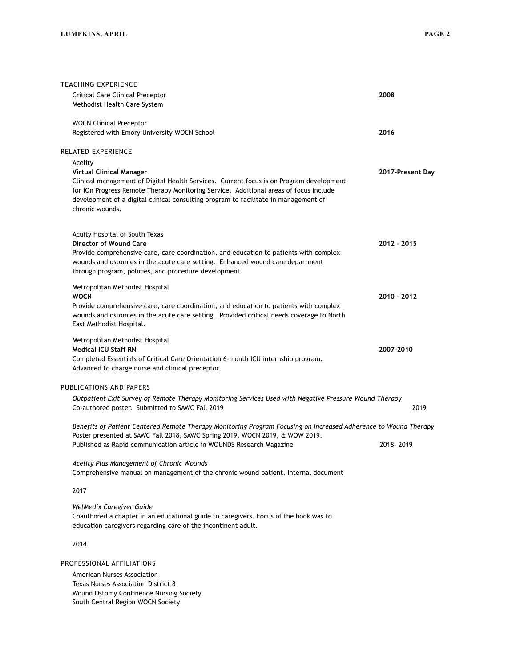|                                                                                                        | TEACHING EXPERIENCE                                                                                                                                                               |                  |  |  |
|--------------------------------------------------------------------------------------------------------|-----------------------------------------------------------------------------------------------------------------------------------------------------------------------------------|------------------|--|--|
|                                                                                                        | <b>Critical Care Clinical Preceptor</b>                                                                                                                                           | 2008             |  |  |
|                                                                                                        | Methodist Health Care System                                                                                                                                                      |                  |  |  |
|                                                                                                        | <b>WOCN Clinical Preceptor</b>                                                                                                                                                    |                  |  |  |
|                                                                                                        | Registered with Emory University WOCN School                                                                                                                                      | 2016             |  |  |
|                                                                                                        |                                                                                                                                                                                   |                  |  |  |
|                                                                                                        | RELATED EXPERIENCE                                                                                                                                                                |                  |  |  |
|                                                                                                        | Acelity<br><b>Virtual Clinical Manager</b>                                                                                                                                        | 2017-Present Day |  |  |
|                                                                                                        | Clinical management of Digital Health Services. Current focus is on Program development                                                                                           |                  |  |  |
|                                                                                                        | for iOn Progress Remote Therapy Monitoring Service. Additional areas of focus include                                                                                             |                  |  |  |
|                                                                                                        | development of a digital clinical consulting program to facilitate in management of<br>chronic wounds.                                                                            |                  |  |  |
|                                                                                                        |                                                                                                                                                                                   |                  |  |  |
|                                                                                                        |                                                                                                                                                                                   |                  |  |  |
|                                                                                                        | Acuity Hospital of South Texas<br>Director of Wound Care                                                                                                                          | 2012 - 2015      |  |  |
|                                                                                                        | Provide comprehensive care, care coordination, and education to patients with complex                                                                                             |                  |  |  |
|                                                                                                        | wounds and ostomies in the acute care setting. Enhanced wound care department                                                                                                     |                  |  |  |
|                                                                                                        | through program, policies, and procedure development.                                                                                                                             |                  |  |  |
|                                                                                                        | Metropolitan Methodist Hospital                                                                                                                                                   |                  |  |  |
|                                                                                                        | <b>WOCN</b>                                                                                                                                                                       | 2010 - 2012      |  |  |
|                                                                                                        | Provide comprehensive care, care coordination, and education to patients with complex<br>wounds and ostomies in the acute care setting. Provided critical needs coverage to North |                  |  |  |
|                                                                                                        | East Methodist Hospital.                                                                                                                                                          |                  |  |  |
|                                                                                                        |                                                                                                                                                                                   |                  |  |  |
|                                                                                                        | Metropolitan Methodist Hospital<br><b>Medical ICU Staff RN</b>                                                                                                                    | 2007-2010        |  |  |
|                                                                                                        | Completed Essentials of Critical Care Orientation 6-month ICU internship program.                                                                                                 |                  |  |  |
|                                                                                                        | Advanced to charge nurse and clinical preceptor.                                                                                                                                  |                  |  |  |
|                                                                                                        | PUBLICATIONS AND PAPERS                                                                                                                                                           |                  |  |  |
| Outpatient Exit Survey of Remote Therapy Monitoring Services Used with Negative Pressure Wound Therapy |                                                                                                                                                                                   |                  |  |  |
|                                                                                                        | Co-authored poster. Submitted to SAWC Fall 2019                                                                                                                                   | 2019             |  |  |
|                                                                                                        |                                                                                                                                                                                   |                  |  |  |
|                                                                                                        | Benefits of Patient Centered Remote Therapy Monitoring Program Focusing on Increased Adherence to Wound Therapy                                                                   |                  |  |  |
|                                                                                                        | Poster presented at SAWC Fall 2018, SAWC Spring 2019, WOCN 2019, & WOW 2019.<br>Published as Rapid communication article in WOUNDS Research Magazine                              | 2018-2019        |  |  |
|                                                                                                        |                                                                                                                                                                                   |                  |  |  |
|                                                                                                        | Acelity Plus Management of Chronic Wounds                                                                                                                                         |                  |  |  |
|                                                                                                        | Comprehensive manual on management of the chronic wound patient. Internal document                                                                                                |                  |  |  |
|                                                                                                        | 2017                                                                                                                                                                              |                  |  |  |
|                                                                                                        | WelMedix Caregiver Guide                                                                                                                                                          |                  |  |  |
|                                                                                                        | Coauthored a chapter in an educational guide to caregivers. Focus of the book was to                                                                                              |                  |  |  |

education caregivers regarding care of the incontinent adult.

2014

PROFESSIONAL AFFILIATIONS

American Nurses Association Texas Nurses Association District 8 Wound Ostomy Continence Nursing Society South Central Region WOCN Society